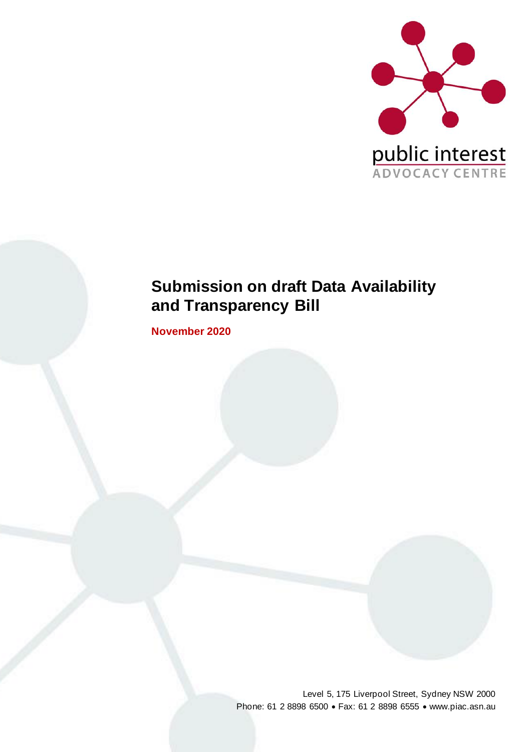

# **Submission on draft Data Availability and Transparency Bill**

**November 2020**

Level 5, 175 Liverpool Street, Sydney NSW 2000 Phone: 61 2 8898 6500 • Fax: 61 2 8898 6555 • www.piac.asn.au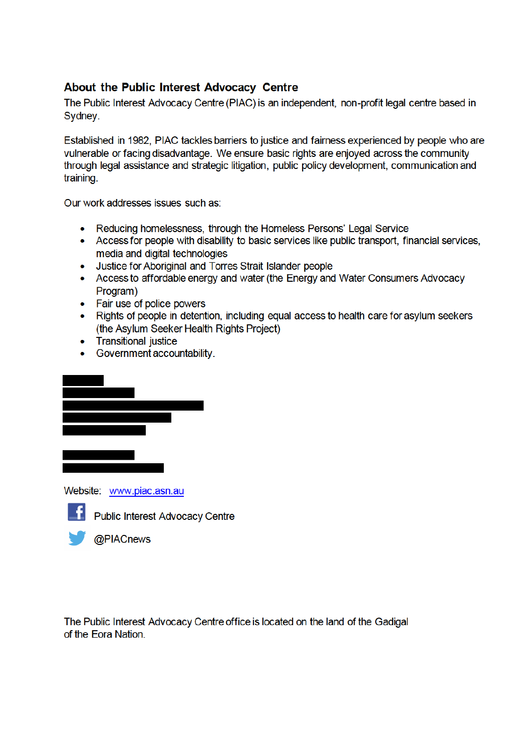### About the Public Interest Advocacy Centre

The Public Interest Advocacy Centre (PIAC) is an independent, non-profit legal centre based in Sydney.

Established in 1982, PIAC tackles barriers to justice and fairness experienced by people who are vulnerable or facing disadvantage. We ensure basic rights are enjoyed across the community through legal assistance and strategic litigation, public policy development, communication and training.

Our work addresses issues such as:

- Reducing homelessness, through the Homeless Persons' Legal Service
- Access for people with disability to basic services like public transport, financial services, media and digital technologies
- Justice for Aboriginal and Torres Strait Islander people
- Access to affordable energy and water (the Energy and Water Consumers Advocacy Program)
- Fair use of police powers
- Rights of people in detention, including equal access to health care for asylum seekers (the Asylum Seeker Health Rights Project)
- Transitional justice
- Government accountability.



Website: www.piac.asn.au



**Public Interest Advocacy Centre** 



The Public Interest Advocacy Centre office is located on the land of the Gadigal of the Eora Nation.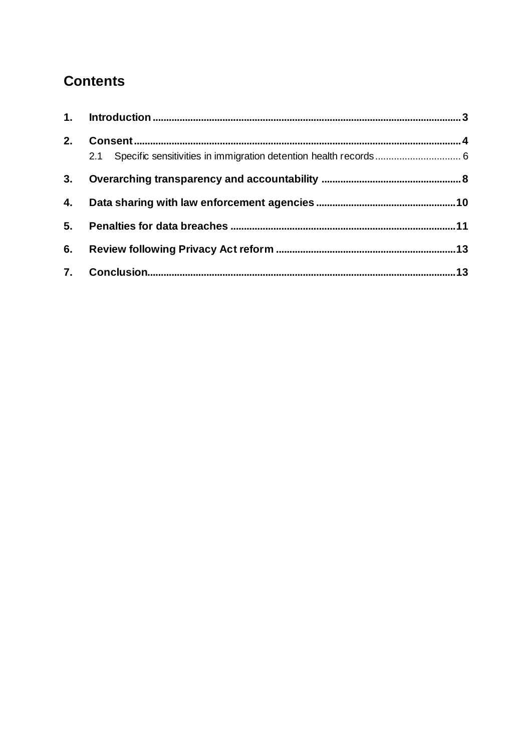# **Contents**

| 2. |     |  |
|----|-----|--|
|    | 2.1 |  |
| 3. |     |  |
| 4. |     |  |
| 5. |     |  |
| 6. |     |  |
|    |     |  |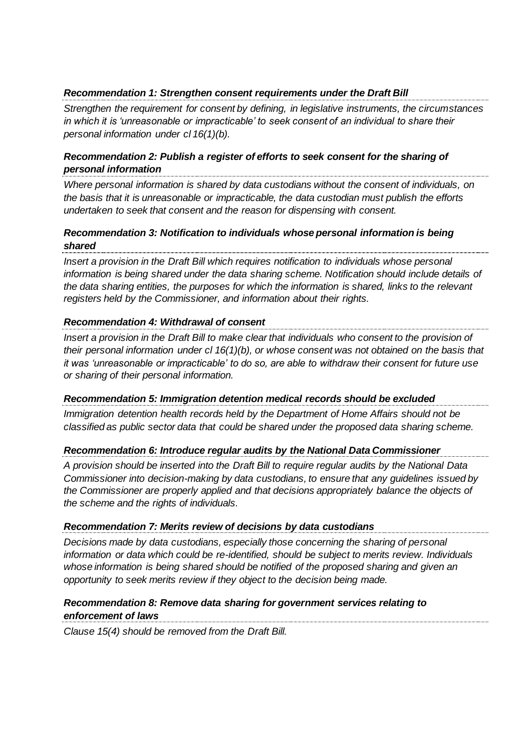#### *Recommendation 1: Strengthen consent requirements under the Draft Bill*

*Strengthen the requirement for consent by defining, in legislative instruments, the circumstances in which it is 'unreasonable or impracticable' to seek consent of an individual to share their personal information under cl 16(1)(b).*

#### *Recommendation 2: Publish a register of efforts to seek consent for the sharing of personal information*

*Where personal information is shared by data custodians without the consent of individuals, on the basis that it is unreasonable or impracticable, the data custodian must publish the efforts undertaken to seek that consent and the reason for dispensing with consent.*

#### *Recommendation 3: Notification to individuals whose personal information is being shared*

*Insert a provision in the Draft Bill which requires notification to individuals whose personal information is being shared under the data sharing scheme. Notification should include details of the data sharing entities, the purposes for which the information is shared, links to the relevant registers held by the Commissioner, and information about their rights.*

#### *Recommendation 4: Withdrawal of consent*

*Insert a provision in the Draft Bill to make clear that individuals who consent to the provision of their personal information under cl 16(1)(b), or whose consent was not obtained on the basis that it was 'unreasonable or impracticable' to do so, are able to withdraw their consent for future use or sharing of their personal information.* 

#### *Recommendation 5: Immigration detention medical records should be excluded*

*Immigration detention health records held by the Department of Home Affairs should not be classified as public sector data that could be shared under the proposed data sharing scheme.* 

#### *Recommendation 6: Introduce regular audits by the National Data Commissioner*

*A provision should be inserted into the Draft Bill to require regular audits by the National Data Commissioner into decision-making by data custodians, to ensure that any guidelines issued by the Commissioner are properly applied and that decisions appropriately balance the objects of the scheme and the rights of individuals.*

#### *Recommendation 7: Merits review of decisions by data custodians*

*Decisions made by data custodians, especially those concerning the sharing of personal information or data which could be re-identified, should be subject to merits review. Individuals whose information is being shared should be notified of the proposed sharing and given an opportunity to seek merits review if they object to the decision being made.*

#### *Recommendation 8: Remove data sharing for government services relating to enforcement of laws*

*Clause 15(4) should be removed from the Draft Bill.*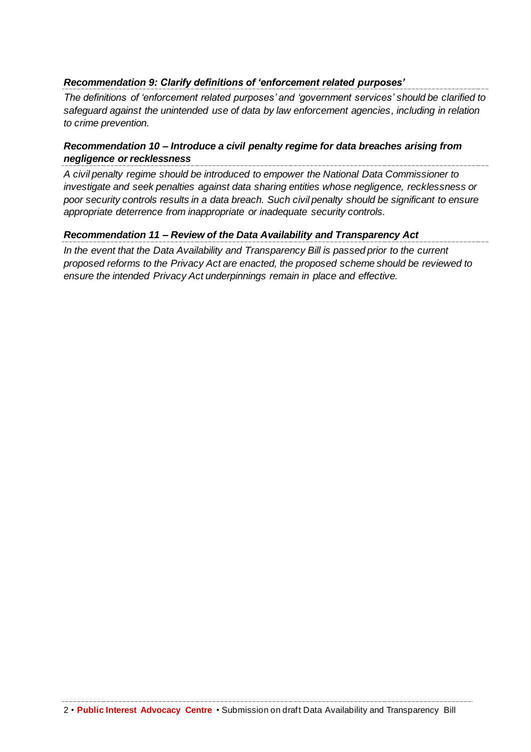#### *Recommendation 9: Clarify definitions of 'enforcement related purposes'*

*The definitions of 'enforcement related purposes' and 'government services' should be clarified to safeguard against the unintended use of data by law enforcement agencies, including in relation to crime prevention.* 

#### *Recommendation 10 – Introduce a civil penalty regime for data breaches arising from negligence or recklessness*

*A civil penalty regime should be introduced to empower the National Data Commissioner to investigate and seek penalties against data sharing entities whose negligence, recklessness or poor security controls results in a data breach. Such civil penalty should be significant to ensure appropriate deterrence from inappropriate or inadequate security controls.*

#### *Recommendation 11 – Review of the Data Availability and Transparency Act*

*In the event that the Data Availability and Transparency Bill is passed prior to the current proposed reforms to the Privacy Act are enacted, the proposed scheme should be reviewed to ensure the intended Privacy Act underpinnings remain in place and effective.*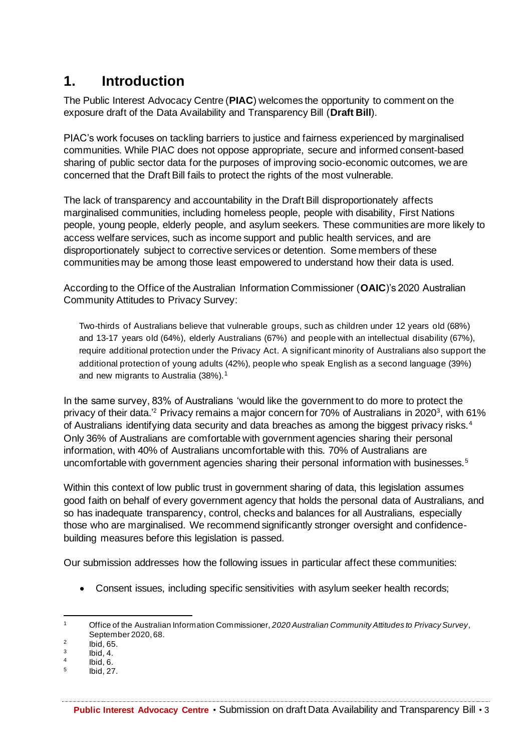### **1. Introduction**

The Public Interest Advocacy Centre (**PIAC**) welcomes the opportunity to comment on the exposure draft of the Data Availability and Transparency Bill (**Draft Bill**).

PIAC's work focuses on tackling barriers to justice and fairness experienced by marginalised communities. While PIAC does not oppose appropriate, secure and informed consent-based sharing of public sector data for the purposes of improving socio-economic outcomes, we are concerned that the Draft Bill fails to protect the rights of the most vulnerable.

The lack of transparency and accountability in the Draft Bill disproportionately affects marginalised communities, including homeless people, people with disability, First Nations people, young people, elderly people, and asylum seekers. These communities are more likely to access welfare services, such as income support and public health services, and are disproportionately subject to corrective services or detention. Some members of these communities may be among those least empowered to understand how their data is used.

According to the Office of the Australian Information Commissioner (**OAIC**)'s 2020 Australian Community Attitudes to Privacy Survey:

Two-thirds of Australians believe that vulnerable groups, such as children under 12 years old (68%) and 13-17 years old (64%), elderly Australians (67%) and people with an intellectual disability (67%), require additional protection under the Privacy Act. A significant minority of Australians also support the additional protection of young adults (42%), people who speak English as a second language (39%) and new migrants to Australia (38%).<sup>1</sup>

In the same survey, 83% of Australians 'would like the government to do more to protect the privacy of their data.<sup>'2</sup> Privacy remains a major concern for 70% of Australians in 2020<sup>3</sup>, with 61% of Australians identifying data security and data breaches as among the biggest privacy risks.<sup>4</sup> Only 36% of Australians are comfortable with government agencies sharing their personal information, with 40% of Australians uncomfortable with this. 70% of Australians are uncomfortable with government agencies sharing their personal information with businesses.<sup>5</sup>

Within this context of low public trust in government sharing of data, this legislation assumes good faith on behalf of every government agency that holds the personal data of Australians, and so has inadequate transparency, control, checks and balances for all Australians, especially those who are marginalised. We recommend significantly stronger oversight and confidencebuilding measures before this legislation is passed.

Our submission addresses how the following issues in particular affect these communities:

• Consent issues, including specific sensitivities with asylum seeker health records;

<sup>1</sup> Office of the Australian Information Commissioner, *2020 Australian Community Attitudes to Privacy Survey*, September 2020, 68.

<sup>2</sup> Ibid, 65.

<sup>3</sup> Ibid, 4.

<sup>4</sup> Ibid, 6.

<sup>5</sup> Ibid, 27.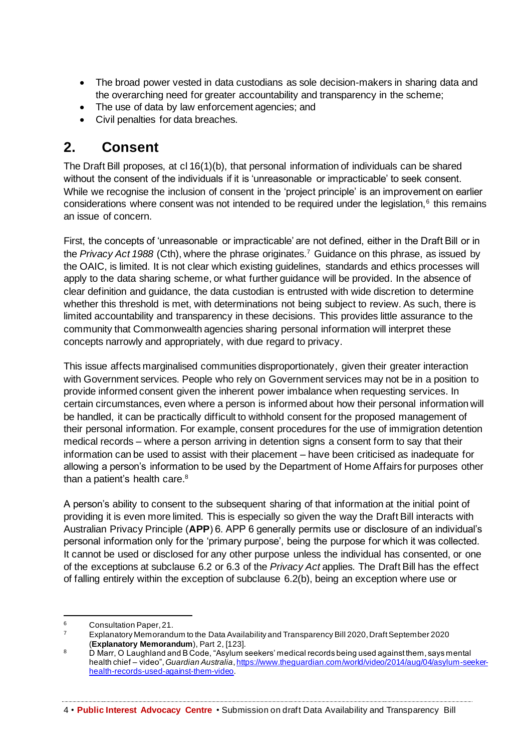- The broad power vested in data custodians as sole decision-makers in sharing data and the overarching need for greater accountability and transparency in the scheme;
- The use of data by law enforcement agencies; and
- Civil penalties for data breaches.

### **2. Consent**

The Draft Bill proposes, at cl 16(1)(b), that personal information of individuals can be shared without the consent of the individuals if it is 'unreasonable or impracticable' to seek consent. While we recognise the inclusion of consent in the 'project principle' is an improvement on earlier considerations where consent was not intended to be required under the legislation, $6$  this remains an issue of concern.

First, the concepts of 'unreasonable or impracticable' are not defined, either in the Draft Bill or in the *Privacy Act 1988* (Cth), where the phrase originates.<sup>7</sup> Guidance on this phrase, as issued by the OAIC, is limited. It is not clear which existing guidelines, standards and ethics processes will apply to the data sharing scheme, or what further guidance will be provided. In the absence of clear definition and guidance, the data custodian is entrusted with wide discretion to determine whether this threshold is met, with determinations not being subject to review. As such, there is limited accountability and transparency in these decisions. This provides little assurance to the community that Commonwealth agencies sharing personal information will interpret these concepts narrowly and appropriately, with due regard to privacy.

This issue affects marginalised communities disproportionately, given their greater interaction with Government services. People who rely on Government services may not be in a position to provide informed consent given the inherent power imbalance when requesting services. In certain circumstances, even where a person is informed about how their personal information will be handled, it can be practically difficult to withhold consent for the proposed management of their personal information. For example, consent procedures for the use of immigration detention medical records – where a person arriving in detention signs a consent form to say that their information can be used to assist with their placement – have been criticised as inadequate for allowing a person's information to be used by the Department of Home Affairs for purposes other than a patient's health care.<sup>8</sup>

A person's ability to consent to the subsequent sharing of that information at the initial point of providing it is even more limited. This is especially so given the way the Draft Bill interacts with Australian Privacy Principle (**APP**) 6. APP 6 generally permits use or disclosure of an individual's personal information only for the 'primary purpose', being the purpose for which it was collected. It cannot be used or disclosed for any other purpose unless the individual has consented, or one of the exceptions at subclause 6.2 or 6.3 of the *Privacy Act* applies. The Draft Bill has the effect of falling entirely within the exception of subclause 6.2(b), being an exception where use or

 $6$  Consultation Paper, 21.

<sup>7</sup> Explanatory Memorandum to the Data Availability and Transparency Bill 2020, Draft September 2020 (**Explanatory Memorandum**), Part 2, [123].

<sup>8</sup> D Marr, O Laughland and B Code, "Asylum seekers' medical records being used against them, says mental health chief – video", *Guardian Australia*, https://www.theguardian.com/world/video/2014/aug/04/asylum-seekerhealth-records-used-against-them-video.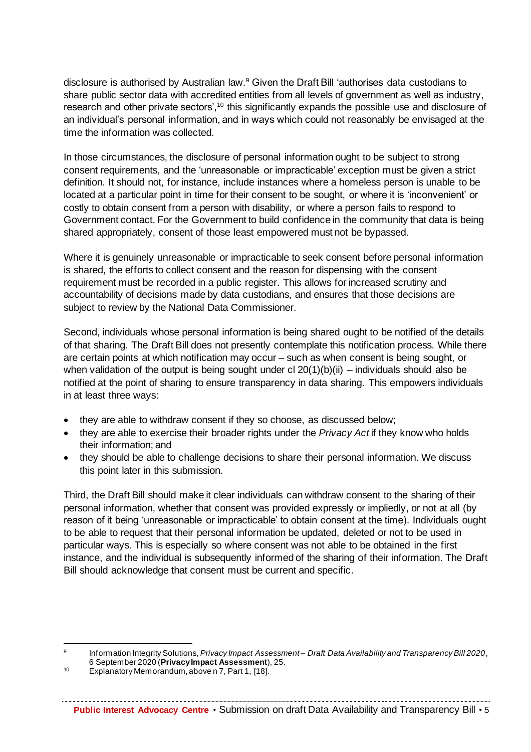disclosure is authorised by Australian law.<sup>9</sup> Given the Draft Bill 'authorises data custodians to share public sector data with accredited entities from all levels of government as well as industry, research and other private sectors',<sup>10</sup> this significantly expands the possible use and disclosure of an individual's personal information, and in ways which could not reasonably be envisaged at the time the information was collected.

In those circumstances, the disclosure of personal information ought to be subject to strong consent requirements, and the 'unreasonable or impracticable' exception must be given a strict definition. It should not, for instance, include instances where a homeless person is unable to be located at a particular point in time for their consent to be sought, or where it is 'inconvenient' or costly to obtain consent from a person with disability, or where a person fails to respond to Government contact. For the Government to build confidence in the community that data is being shared appropriately, consent of those least empowered must not be bypassed.

Where it is genuinely unreasonable or impracticable to seek consent before personal information is shared, the efforts to collect consent and the reason for dispensing with the consent requirement must be recorded in a public register. This allows for increased scrutiny and accountability of decisions made by data custodians, and ensures that those decisions are subject to review by the National Data Commissioner.

Second, individuals whose personal information is being shared ought to be notified of the details of that sharing. The Draft Bill does not presently contemplate this notification process. While there are certain points at which notification may occur – such as when consent is being sought, or when validation of the output is being sought under  $cl 20(1)(b)(ii) -$  individuals should also be notified at the point of sharing to ensure transparency in data sharing. This empowers individuals in at least three ways:

- they are able to withdraw consent if they so choose, as discussed below;
- they are able to exercise their broader rights under the *Privacy Act* if they know who holds their information; and
- they should be able to challenge decisions to share their personal information. We discuss this point later in this submission.

Third, the Draft Bill should make it clear individuals can withdraw consent to the sharing of their personal information, whether that consent was provided expressly or impliedly, or not at all (by reason of it being 'unreasonable or impracticable' to obtain consent at the time). Individuals ought to be able to request that their personal information be updated, deleted or not to be used in particular ways. This is especially so where consent was not able to be obtained in the first instance, and the individual is subsequently informed of the sharing of their information. The Draft Bill should acknowledge that consent must be current and specific.

<sup>9</sup> Information Integrity Solutions, *Privacy Impact Assessment – Draft Data Availability and Transparency Bill 2020*, 6 September 2020 (**Privacy Impact Assessment**), 25.

<sup>10</sup> Explanatory Memorandum, above n 7, Part 1, [18].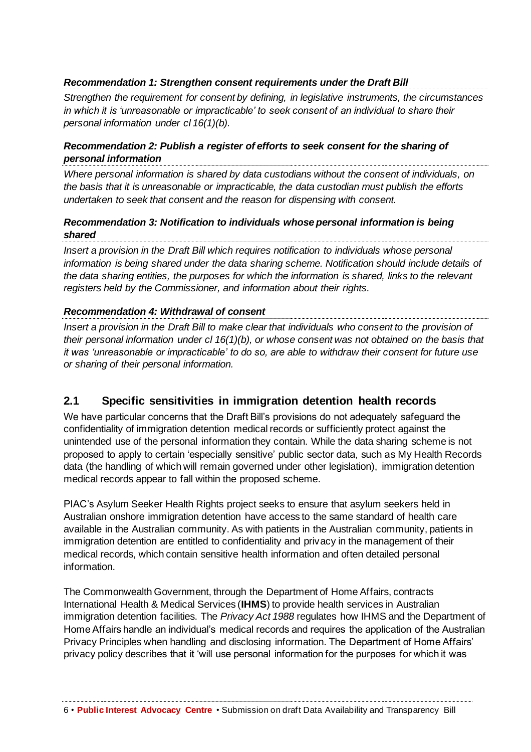#### *Recommendation 1: Strengthen consent requirements under the Draft Bill*

*Strengthen the requirement for consent by defining, in legislative instruments, the circumstances in which it is 'unreasonable or impracticable' to seek consent of an individual to share their personal information under cl 16(1)(b).*

#### *Recommendation 2: Publish a register of efforts to seek consent for the sharing of personal information*

*Where personal information is shared by data custodians without the consent of individuals, on the basis that it is unreasonable or impracticable, the data custodian must publish the efforts undertaken to seek that consent and the reason for dispensing with consent.*

#### *Recommendation 3: Notification to individuals whose personal information is being shared*

*Insert a provision in the Draft Bill which requires notification to individuals whose personal information is being shared under the data sharing scheme. Notification should include details of the data sharing entities, the purposes for which the information is shared, links to the relevant registers held by the Commissioner, and information about their rights.*

#### *Recommendation 4: Withdrawal of consent*

*Insert a provision in the Draft Bill to make clear that individuals who consent to the provision of their personal information under cl 16(1)(b), or whose consent was not obtained on the basis that it was 'unreasonable or impracticable' to do so, are able to withdraw their consent for future use or sharing of their personal information.* 

### **2.1 Specific sensitivities in immigration detention health records**

We have particular concerns that the Draft Bill's provisions do not adequately safeguard the confidentiality of immigration detention medical records or sufficiently protect against the unintended use of the personal information they contain. While the data sharing scheme is not proposed to apply to certain 'especially sensitive' public sector data, such as My Health Records data (the handling of which will remain governed under other legislation), immigration detention medical records appear to fall within the proposed scheme.

PIAC's Asylum Seeker Health Rights project seeks to ensure that asylum seekers held in Australian onshore immigration detention have access to the same standard of health care available in the Australian community. As with patients in the Australian community, patients in immigration detention are entitled to confidentiality and privacy in the management of their medical records, which contain sensitive health information and often detailed personal information.

The Commonwealth Government, through the Department of Home Affairs, contracts International Health & Medical Services (**IHMS**) to provide health services in Australian immigration detention facilities. The *Privacy Act 1988* regulates how IHMS and the Department of Home Affairs handle an individual's medical records and requires the application of the Australian Privacy Principles when handling and disclosing information. The Department of Home Affairs' privacy policy describes that it 'will use personal information for the purposes for which it was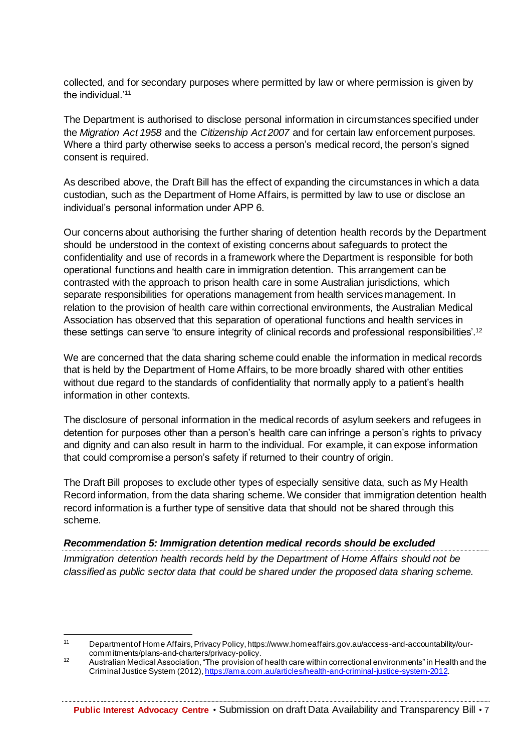collected, and for secondary purposes where permitted by law or where permission is given by the individual.'<sup>11</sup>

The Department is authorised to disclose personal information in circumstances specified under the *Migration Act 1958* and the *Citizenship Act 2007* and for certain law enforcement purposes. Where a third party otherwise seeks to access a person's medical record, the person's signed consent is required.

As described above, the Draft Bill has the effect of expanding the circumstances in which a data custodian, such as the Department of Home Affairs, is permitted by law to use or disclose an individual's personal information under APP 6.

Our concerns about authorising the further sharing of detention health records by the Department should be understood in the context of existing concerns about safeguards to protect the confidentiality and use of records in a framework where the Department is responsible for both operational functions and health care in immigration detention. This arrangement can be contrasted with the approach to prison health care in some Australian jurisdictions, which separate responsibilities for operations management from health services management. In relation to the provision of health care within correctional environments, the Australian Medical Association has observed that this separation of operational functions and health services in these settings can serve 'to ensure integrity of clinical records and professional responsibilities'.<sup>12</sup>

We are concerned that the data sharing scheme could enable the information in medical records that is held by the Department of Home Affairs, to be more broadly shared with other entities without due regard to the standards of confidentiality that normally apply to a patient's health information in other contexts.

The disclosure of personal information in the medical records of asylum seekers and refugees in detention for purposes other than a person's health care can infringe a person's rights to privacy and dignity and can also result in harm to the individual. For example, it can expose information that could compromise a person's safety if returned to their country of origin.

The Draft Bill proposes to exclude other types of especially sensitive data, such as My Health Record information, from the data sharing scheme. We consider that immigration detention health record information is a further type of sensitive data that should not be shared through this scheme.

#### *Recommendation 5: Immigration detention medical records should be excluded*

*Immigration detention health records held by the Department of Home Affairs should not be classified as public sector data that could be shared under the proposed data sharing scheme.* 

<sup>11</sup> Department of Home Affairs, Privacy Policy, https://www.homeaffairs.gov.au/access-and-accountability/ourcommitments/plans-and-charters/privacy-policy.

<sup>12</sup> Australian Medical Association, "The provision of health care within correctional environments" in Health and the Criminal Justice System (2012), https://ama.com.au/articles/health-and-criminal-justice-system-2012.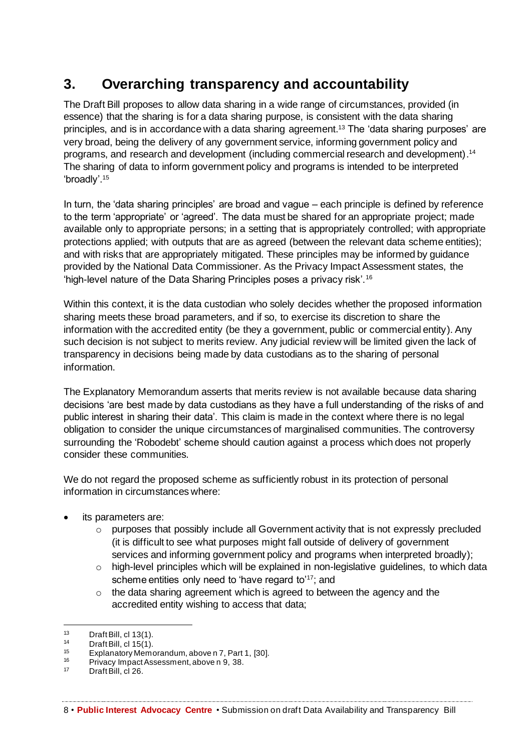## **3. Overarching transparency and accountability**

The Draft Bill proposes to allow data sharing in a wide range of circumstances, provided (in essence) that the sharing is for a data sharing purpose, is consistent with the data sharing principles, and is in accordance with a data sharing agreement. <sup>13</sup> The 'data sharing purposes' are very broad, being the delivery of any government service, informing government policy and programs, and research and development (including commercial research and development). 14 The sharing of data to inform government policy and programs is intended to be interpreted 'broadly'.<sup>15</sup>

In turn, the 'data sharing principles' are broad and vague – each principle is defined by reference to the term 'appropriate' or 'agreed'. The data must be shared for an appropriate project; made available only to appropriate persons; in a setting that is appropriately controlled; with appropriate protections applied; with outputs that are as agreed (between the relevant data scheme entities); and with risks that are appropriately mitigated. These principles may be informed by guidance provided by the National Data Commissioner. As the Privacy Impact Assessment states, the 'high-level nature of the Data Sharing Principles poses a privacy risk'.<sup>16</sup>

Within this context, it is the data custodian who solely decides whether the proposed information sharing meets these broad parameters, and if so, to exercise its discretion to share the information with the accredited entity (be they a government, public or commercial entity). Any such decision is not subject to merits review. Any judicial review will be limited given the lack of transparency in decisions being made by data custodians as to the sharing of personal information.

The Explanatory Memorandum asserts that merits review is not available because data sharing decisions 'are best made by data custodians as they have a full understanding of the risks of and public interest in sharing their data'. This claim is made in the context where there is no legal obligation to consider the unique circumstances of marginalised communities. The controversy surrounding the 'Robodebt' scheme should caution against a process which does not properly consider these communities.

We do not regard the proposed scheme as sufficiently robust in its protection of personal information in circumstances where:

- its parameters are:
	- o purposes that possibly include all Government activity that is not expressly precluded (it is difficult to see what purposes might fall outside of delivery of government services and informing government policy and programs when interpreted broadly);
	- $\circ$  high-level principles which will be explained in non-legislative guidelines, to which data scheme entities only need to 'have regard to'<sup>17</sup>; and
	- $\circ$  the data sharing agreement which is agreed to between the agency and the accredited entity wishing to access that data;

<sup>13</sup> Draft Bill, cl 13(1).<br>14 Draft Bill, cl 15(1).

 $^{14}$  Draft Bill, cl 15(1).<br> $^{15}$  Explanatory Memo

<sup>&</sup>lt;sup>15</sup> Explanatory Memorandum, above n 7, Part 1, [30].

<sup>&</sup>lt;sup>16</sup> Privacy Impact Assessment, above n  $\frac{9}{3}$ , 38.

Draft Bill, cl 26.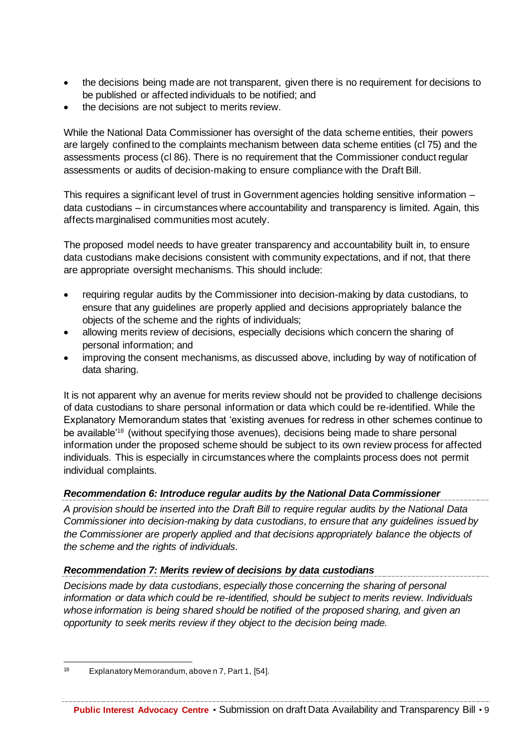- the decisions being made are not transparent, given there is no requirement for decisions to be published or affected individuals to be notified; and
- the decisions are not subject to merits review.

While the National Data Commissioner has oversight of the data scheme entities, their powers are largely confined to the complaints mechanism between data scheme entities (cl 75) and the assessments process (cl 86). There is no requirement that the Commissioner conduct regular assessments or audits of decision-making to ensure compliance with the Draft Bill.

This requires a significant level of trust in Government agencies holding sensitive information – data custodians – in circumstances where accountability and transparency is limited. Again, this affects marginalised communities most acutely.

The proposed model needs to have greater transparency and accountability built in, to ensure data custodians make decisions consistent with community expectations, and if not, that there are appropriate oversight mechanisms. This should include:

- requiring regular audits by the Commissioner into decision-making by data custodians, to ensure that any guidelines are properly applied and decisions appropriately balance the objects of the scheme and the rights of individuals;
- allowing merits review of decisions, especially decisions which concern the sharing of personal information; and
- improving the consent mechanisms, as discussed above, including by way of notification of data sharing.

It is not apparent why an avenue for merits review should not be provided to challenge decisions of data custodians to share personal information or data which could be re-identified. While the Explanatory Memorandum states that 'existing avenues for redress in other schemes continue to be available'<sup>18</sup> (without specifying those avenues), decisions being made to share personal information under the proposed scheme should be subject to its own review process for affected individuals. This is especially in circumstances where the complaints process does not permit individual complaints.

#### *Recommendation 6: Introduce regular audits by the National Data Commissioner*

*A provision should be inserted into the Draft Bill to require regular audits by the National Data Commissioner into decision-making by data custodians, to ensure that any guidelines issued by the Commissioner are properly applied and that decisions appropriately balance the objects of the scheme and the rights of individuals.*

#### *Recommendation 7: Merits review of decisions by data custodians*

*Decisions made by data custodians, especially those concerning the sharing of personal information or data which could be re-identified, should be subject to merits review. Individuals whose information is being shared should be notified of the proposed sharing, and given an opportunity to seek merits review if they object to the decision being made.*

<sup>18</sup> Explanatory Memorandum, above n 7, Part 1, [54].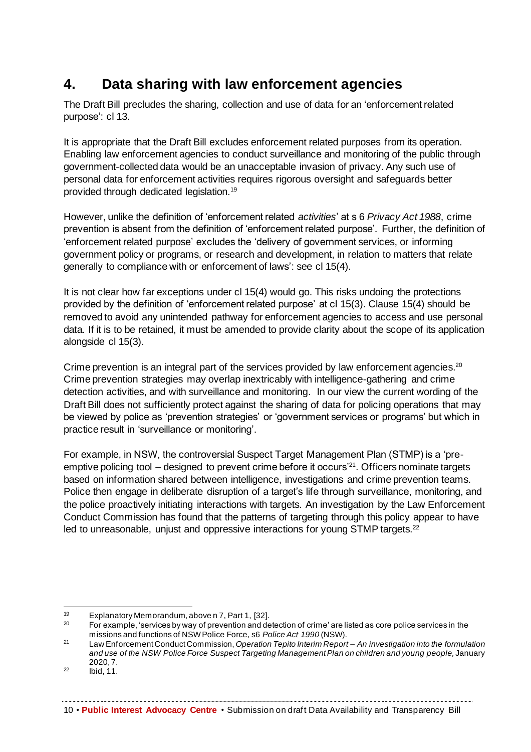## **4. Data sharing with law enforcement agencies**

The Draft Bill precludes the sharing, collection and use of data for an 'enforcement related purpose': cl 13.

It is appropriate that the Draft Bill excludes enforcement related purposes from its operation. Enabling law enforcement agencies to conduct surveillance and monitoring of the public through government-collected data would be an unacceptable invasion of privacy. Any such use of personal data for enforcement activities requires rigorous oversight and safeguards better provided through dedicated legislation.<sup>19</sup>

However, unlike the definition of 'enforcement related *activities*' at s 6 *Privacy Act 1988*, crime prevention is absent from the definition of 'enforcement related purpose'. Further, the definition of 'enforcement related purpose' excludes the 'delivery of government services, or informing government policy or programs, or research and development, in relation to matters that relate generally to compliance with or enforcement of laws': see cl 15(4).

It is not clear how far exceptions under cl 15(4) would go. This risks undoing the protections provided by the definition of 'enforcement related purpose' at cl 15(3). Clause 15(4) should be removed to avoid any unintended pathway for enforcement agencies to access and use personal data. If it is to be retained, it must be amended to provide clarity about the scope of its application alongside cl 15(3).

Crime prevention is an integral part of the services provided by law enforcement agencies.<sup>20</sup> Crime prevention strategies may overlap inextricably with intelligence-gathering and crime detection activities, and with surveillance and monitoring. In our view the current wording of the Draft Bill does not sufficiently protect against the sharing of data for policing operations that may be viewed by police as 'prevention strategies' or 'government services or programs' but which in practice result in 'surveillance or monitoring'.

For example, in NSW, the controversial Suspect Target Management Plan (STMP) is a 'preemptive policing tool – designed to prevent crime before it occurs'<sup>21</sup>. Officers nominate targets based on information shared between intelligence, investigations and crime prevention teams. Police then engage in deliberate disruption of a target's life through surveillance, monitoring, and the police proactively initiating interactions with targets. An investigation by the Law Enforcement Conduct Commission has found that the patterns of targeting through this policy appear to have led to unreasonable, unjust and oppressive interactions for young STMP targets.<sup>22</sup>

<sup>&</sup>lt;sup>19</sup> Explanatory Memorandum, above n 7, Part 1, [32].<br><sup>20</sup> Eer example for view by way of provention and do

<sup>20</sup> For example, 'services by way of prevention and detection of crime' are listed as core police services in the missions and functions of NSW Police Force, s6 *Police Act 1990* (NSW).

<sup>21</sup> Law Enforcement Conduct Commission, *Operation Tepito Interim Report – An investigation into the formulation and use of the NSW Police Force Suspect Targeting Management Plan on children and young people,* January 2020, 7.

 $^{22}$  Ibid, 11.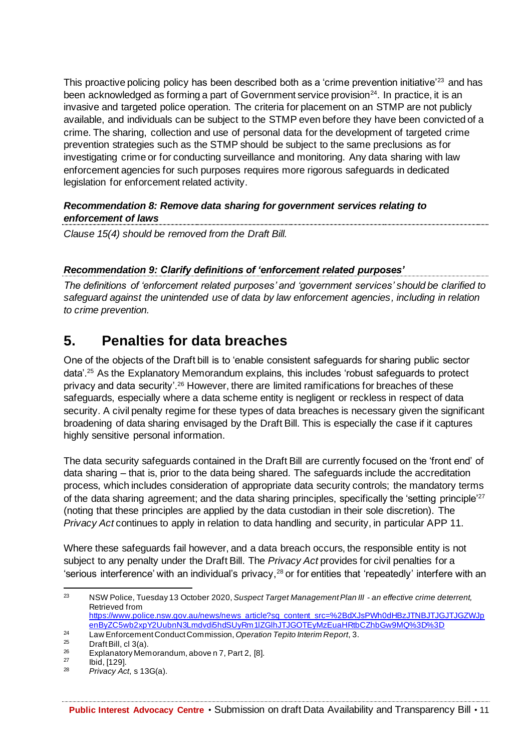This proactive policing policy has been described both as a 'crime prevention initiative'<sup>23</sup> and has been acknowledged as forming a part of Government service provision<sup>24</sup>. In practice, it is an invasive and targeted police operation. The criteria for placement on an STMP are not publicly available, and individuals can be subject to the STMP even before they have been convicted of a crime. The sharing, collection and use of personal data for the development of targeted crime prevention strategies such as the STMP should be subject to the same preclusions as for investigating crime or for conducting surveillance and monitoring. Any data sharing with law enforcement agencies for such purposes requires more rigorous safeguards in dedicated legislation for enforcement related activity.

#### *Recommendation 8: Remove data sharing for government services relating to enforcement of laws*

*Clause 15(4) should be removed from the Draft Bill.* 

#### *Recommendation 9: Clarify definitions of 'enforcement related purposes'*

*The definitions of 'enforcement related purposes' and 'government services' should be clarified to safeguard against the unintended use of data by law enforcement agencies, including in relation to crime prevention.* 

### **5. Penalties for data breaches**

One of the objects of the Draft bill is to 'enable consistent safeguards for sharing public sector data'.<sup>25</sup> As the Explanatory Memorandum explains, this includes 'robust safeguards to protect privacy and data security'.<sup>26</sup> However, there are limited ramifications for breaches of these safeguards, especially where a data scheme entity is negligent or reckless in respect of data security. A civil penalty regime for these types of data breaches is necessary given the significant broadening of data sharing envisaged by the Draft Bill. This is especially the case if it captures highly sensitive personal information.

The data security safeguards contained in the Draft Bill are currently focused on the 'front end' of data sharing – that is, prior to the data being shared. The safeguards include the accreditation process, which includes consideration of appropriate data security controls; the mandatory terms of the data sharing agreement; and the data sharing principles, specifically the 'setting principle'<sup>27</sup> (noting that these principles are applied by the data custodian in their sole discretion). The *Privacy Act* continues to apply in relation to data handling and security, in particular APP 11.

Where these safeguards fail however, and a data breach occurs, the responsible entity is not subject to any penalty under the Draft Bill. The *Privacy Act* provides for civil penalties for a 'serious interference' with an individual's privacy,  $28$  or for entities that 'repeatedly' interfere with an

<sup>23</sup> NSW Police, Tuesday 13 October 2020, *Suspect Target Management Plan III - an effective crime deterrent,* Retrieved from https://www.police.nsw.gov.au/news/news article?sq content src=%2BdXJsPWh0dHBzJTNBJTJGJTJGZWJp enByZC5wb2xpY2UubnN3Lmdvdi5hdSUyRm1lZGlhJTJGOTEyMzEuaHRtbCZhbGw9MQ%3D%3D

<sup>&</sup>lt;sup>24</sup> Law Enforcement Conduct Commission, *Operation Tepito Interim Report*, 3.<br><sup>25</sup> Prof<sup>t</sup> Bill el 2(0)

 $^{25}$  Draft Bill, cl 3(a).<br> $^{26}$  Explorator: Mom

<sup>&</sup>lt;sup>26</sup> Explanatory Memorandum, above n 7, Part 2, [8].<br><sup>27</sup> Explanatory Memorandum, above n 7, Part 2, [8].

 $\frac{27}{28}$  Ibid, [129].

<sup>28</sup> *Privacy Act*, s 13G(a).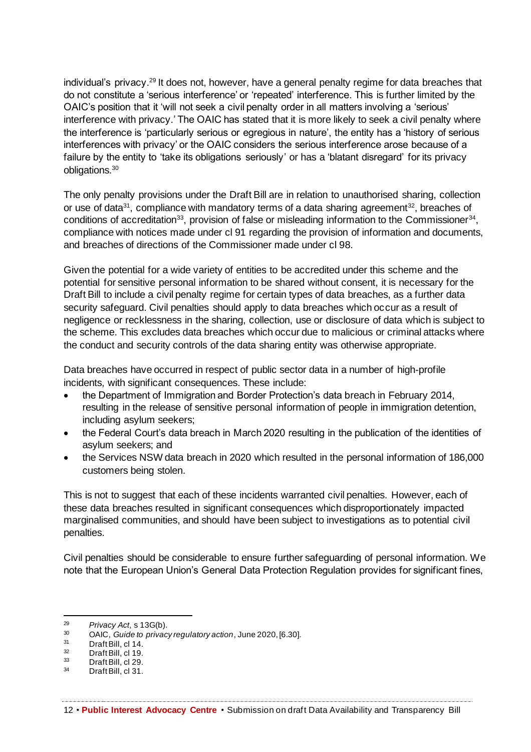individual's privacy.<sup>29</sup> It does not, however, have a general penalty regime for data breaches that do not constitute a 'serious interference' or 'repeated' interference. This is further limited by the OAIC's position that it 'will not seek a civil penalty order in all matters involving a 'serious' interference with privacy.' The OAIC has stated that it is more likely to seek a civil penalty where the interference is 'particularly serious or egregious in nature', the entity has a 'history of serious interferences with privacy' or the OAIC considers the serious interference arose because of a failure by the entity to 'take its obligations seriously' or has a 'blatant disregard' for its privacy obligations.<sup>30</sup>

The only penalty provisions under the Draft Bill are in relation to unauthorised sharing, collection or use of data<sup>31</sup>, compliance with mandatory terms of a data sharing agreement<sup>32</sup>, breaches of conditions of accreditation<sup>33</sup>, provision of false or misleading information to the Commissioner<sup>34</sup>, compliance with notices made under cl 91 regarding the provision of information and documents, and breaches of directions of the Commissioner made under cl 98.

Given the potential for a wide variety of entities to be accredited under this scheme and the potential for sensitive personal information to be shared without consent, it is necessary for the Draft Bill to include a civil penalty regime for certain types of data breaches, as a further data security safeguard. Civil penalties should apply to data breaches which occur as a result of negligence or recklessness in the sharing, collection, use or disclosure of data which is subject to the scheme. This excludes data breaches which occur due to malicious or criminal attacks where the conduct and security controls of the data sharing entity was otherwise appropriate.

Data breaches have occurred in respect of public sector data in a number of high-profile incidents, with significant consequences. These include:

- the Department of Immigration and Border Protection's data breach in February 2014, resulting in the release of sensitive personal information of people in immigration detention, including asylum seekers;
- the Federal Court's data breach in March 2020 resulting in the publication of the identities of asylum seekers; and
- the Services NSW data breach in 2020 which resulted in the personal information of 186,000 customers being stolen.

This is not to suggest that each of these incidents warranted civil penalties. However, each of these data breaches resulted in significant consequences which disproportionately impacted marginalised communities, and should have been subject to investigations as to potential civil penalties.

Civil penalties should be considerable to ensure further safeguarding of personal information. We note that the European Union's General Data Protection Regulation provides for significant fines,

<sup>29</sup> *Privacy Act*, s 13G(b).

<sup>30</sup> OAIC, *Guide to privacy regulatory action*, June 2020, [6.30].

 $31$  Draft Bill, cl 14.<br> $32$  Draft Bill, cl 10.

 $\frac{32}{33}$  Draft Bill, cl 19.

 $33$  Draft Bill, cl 29.<br> $34$  Draft Bill, cl 31.

Draft Bill, cl 31.